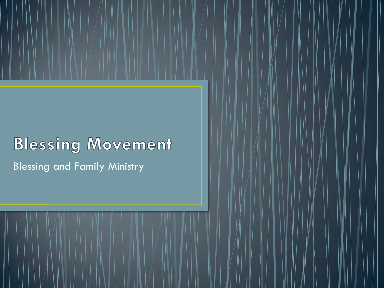**Blessing Movement** Blessing and Family Ministry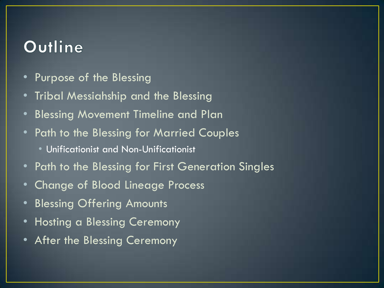# Outline

- Purpose of the Blessing
- Tribal Messiahship and the Blessing
- Blessing Movement Timeline and Plan
- Path to the Blessing for Married Couples
	- Unificationist and Non-Unificationist
- Path to the Blessing for First Generation Singles
- Change of Blood Lineage Process
- Blessing Offering Amounts
- Hosting a Blessing Ceremony
- After the Blessing Ceremony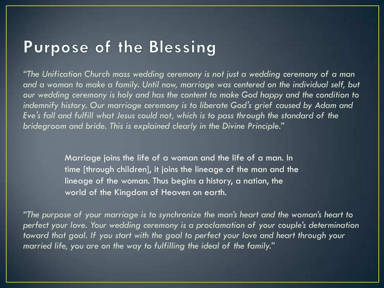### Purpose of the Blessing

*"The Unification Church mass wedding ceremony is not just a wedding ceremony of a man and a woman to make a family. Until now, marriage was centered on the individual self, but our wedding ceremony is holy and has the content to make God happy and the condition to indemnify history. Our marriage ceremony is to liberate God's grief caused by Adam and Eve's fall and fulfill what Jesus could not, which is to pass through the standard of the bridegroom and bride. This is explained clearly in the Divine Principle."*

> Marriage joins the life of a woman and the life of a man. In time [through children], it joins the lineage of the man and the lineage of the woman. Thus begins a history, a nation, the world of the Kingdom of Heaven on earth.

*"The purpose of your marriage is to synchronize the man's heart and the woman's heart to perfect your love. Your wedding ceremony is a proclamation of your couple's determination toward that goal. If you start with the goal to perfect your love and heart through your married life, you are on the way to fulfilling the ideal of the family."*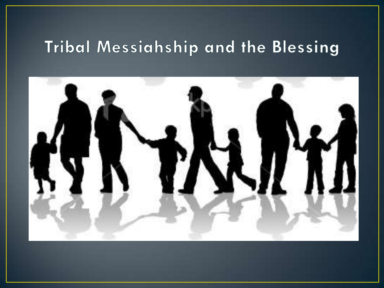# Tribal Messiahship and the Blessing

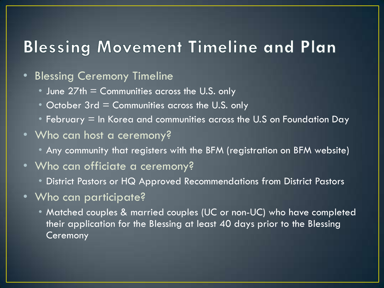### **Blessing Movement Timeline and Plan**

#### • Blessing Ceremony Timeline

- June  $27$ th  $=$  Communities across the U.S. only
- October  $3rd =$  Communities across the U.S. only
- February  $=$  In Korea and communities across the U.S on Foundation Day
- Who can host a ceremony?
	- Any community that registers with the BFM (registration on BFM website)
- Who can officiate a ceremony?
	- District Pastors or HQ Approved Recommendations from District Pastors
- Who can participate?
	- Matched couples & married couples (UC or non-UC) who have completed their application for the Blessing at least 40 days prior to the Blessing **Ceremony**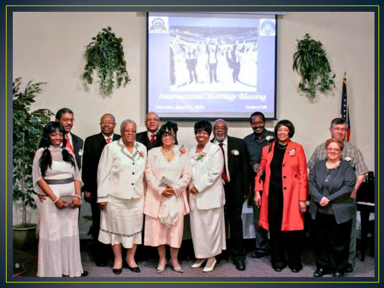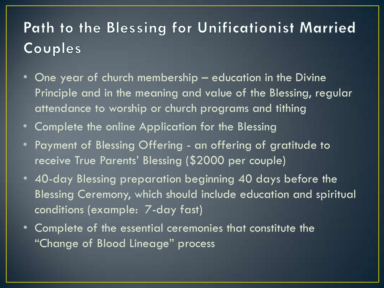# Path to the Blessing for Unificationist Married Couples

- One year of church membership education in the Divine Principle and in the meaning and value of the Blessing, regular attendance to worship or church programs and tithing
- Complete the online Application for the Blessing
- Payment of Blessing Offering an offering of gratitude to receive True Parents' Blessing (\$2000 per couple)
- 40-day Blessing preparation beginning 40 days before the Blessing Ceremony, which should include education and spiritual conditions (example: 7-day fast)
- Complete of the essential ceremonies that constitute the "Change of Blood Lineage" process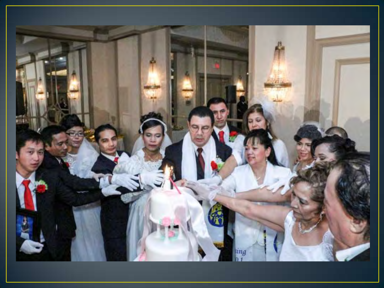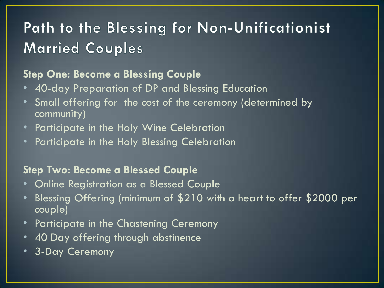# Path to the Blessing for Non-Unificationist **Married Couples**

#### **Step One: Become a Blessing Couple**

- 40-day Preparation of DP and Blessing Education
- Small offering for the cost of the ceremony (determined by community)
- Participate in the Holy Wine Celebration
- Participate in the Holy Blessing Celebration

#### **Step Two: Become a Blessed Couple**

- Online Registration as a Blessed Couple
- Blessing Offering (minimum of \$210 with a heart to offer \$2000 per couple)
- Participate in the Chastening Ceremony
- 40 Day offering through abstinence
- 3-Day Ceremony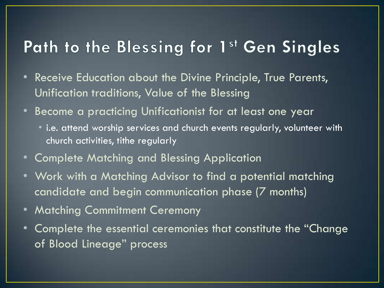# Path to the Blessing for 1st Gen Singles

- Receive Education about the Divine Principle, True Parents, Unification traditions, Value of the Blessing
- Become a practicing Unificationist for at least one year
	- i.e. attend worship services and church events regularly, volunteer with church activities, tithe regularly
- Complete Matching and Blessing Application
- Work with a Matching Advisor to find a potential matching candidate and begin communication phase (7 months)
- Matching Commitment Ceremony
- Complete the essential ceremonies that constitute the "Change of Blood Lineage" process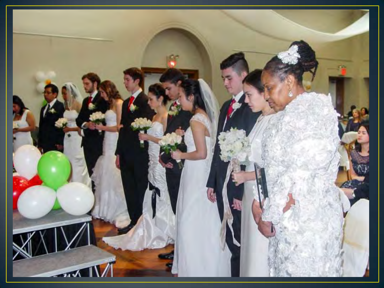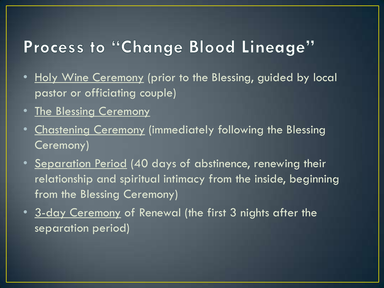# Process to "Change Blood Lineage"

- Holy Wine Ceremony (prior to the Blessing, guided by local pastor or officiating couple)
- The Blessing Ceremony
- Chastening Ceremony (immediately following the Blessing Ceremony)
- <u>Separation Period</u> (40 days of abstinence, renewing their relationship and spiritual intimacy from the inside, beginning from the Blessing Ceremony)
- <u>3-day Ceremony</u> of Renewal (the first 3 nights after the separation period)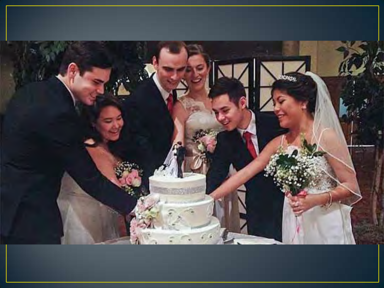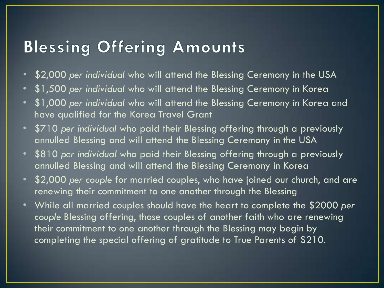### **Blessing Offering Amounts**

- \$2,000 *per individual* who will attend the Blessing Ceremony in the USA
- \$1,500 *per individual* who will attend the Blessing Ceremony in Korea
- \$1,000 *per individual* who will attend the Blessing Ceremony in Korea and have qualified for the Korea Travel Grant
- \$710 *per individual* who paid their Blessing offering through a previously annulled Blessing and will attend the Blessing Ceremony in the USA
- \$810 *per individual* who paid their Blessing offering through a previously annulled Blessing and will attend the Blessing Ceremony in Korea
- \$2,000 *per couple* for married couples, who have joined our church, and are renewing their commitment to one another through the Blessing
- While all married couples should have the heart to complete the \$2000 *per couple* Blessing offering, those couples of another faith who are renewing their commitment to one another through the Blessing may begin by completing the special offering of gratitude to True Parents of \$210.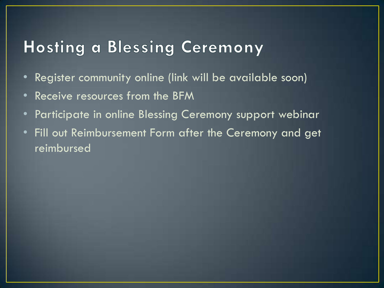# **Hosting a Blessing Ceremony**

- Register community online (link will be available soon)
- Receive resources from the BFM
- Participate in online Blessing Ceremony support webinar
- Fill out Reimbursement Form after the Ceremony and get reimbursed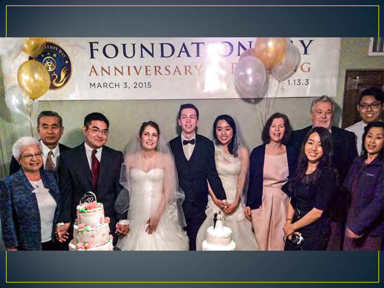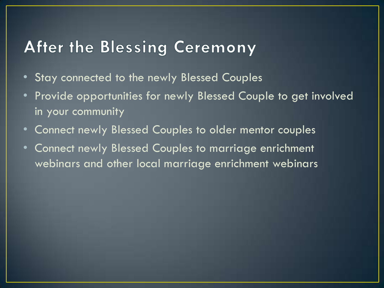### After the Blessing Ceremony

- Stay connected to the newly Blessed Couples
- Provide opportunities for newly Blessed Couple to get involved in your community
- Connect newly Blessed Couples to older mentor couples
- Connect newly Blessed Couples to marriage enrichment webinars and other local marriage enrichment webinars